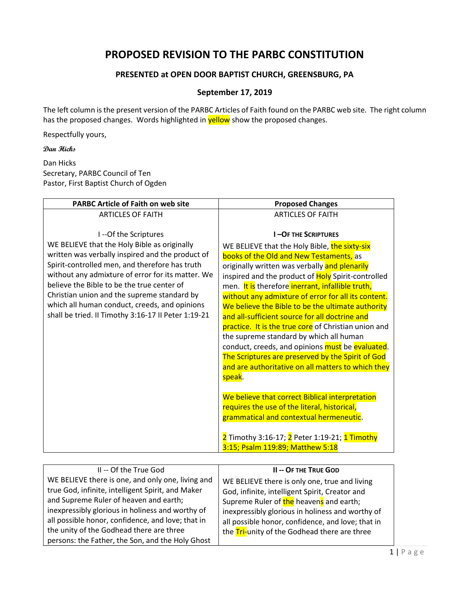## **PROPOSED REVISION TO THE PARBC CONSTITUTION**

## **PRESENTED at OPEN DOOR BAPTIST CHURCH, GREENSBURG, PA**

## **September 17, 2019**

The left column is the present version of the PARBC Articles of Faith found on the PARBC web site. The right column has the proposed changes. Words highlighted in **yellow** show the proposed changes.

Respectfully yours,

**Dan Hicks**

Dan Hicks Secretary, PARBC Council of Ten Pastor, First Baptist Church of Ogden

| <b>PARBC Article of Faith on web site</b>                                                    | <b>Proposed Changes</b>                                                                                |
|----------------------------------------------------------------------------------------------|--------------------------------------------------------------------------------------------------------|
| <b>ARTICLES OF FAITH</b>                                                                     | <b>ARTICLES OF FAITH</b>                                                                               |
|                                                                                              |                                                                                                        |
| I--Of the Scriptures                                                                         | <b>I-OF THE SCRIPTURES</b>                                                                             |
| WE BELIEVE that the Holy Bible as originally                                                 | WE BELIEVE that the Holy Bible, the sixty-six                                                          |
| written was verbally inspired and the product of                                             | books of the Old and New Testaments, as                                                                |
| Spirit-controlled men, and therefore has truth                                               | originally written was verbally and plenarily                                                          |
| without any admixture of error for its matter. We                                            | inspired and the product of Holy Spirit-controlled                                                     |
| believe the Bible to be the true center of                                                   | men. It is therefore inerrant, infallible truth,                                                       |
| Christian union and the supreme standard by<br>which all human conduct, creeds, and opinions | without any admixture of error for all its content.                                                    |
| shall be tried. II Timothy 3:16-17 II Peter 1:19-21                                          | We believe the Bible to be the ultimate authority                                                      |
|                                                                                              | and all-sufficient source for all doctrine and<br>practice. It is the true core of Christian union and |
|                                                                                              | the supreme standard by which all human                                                                |
|                                                                                              | conduct, creeds, and opinions must be evaluated.                                                       |
|                                                                                              | The Scriptures are preserved by the Spirit of God                                                      |
|                                                                                              | and are authoritative on all matters to which they                                                     |
|                                                                                              | speak.                                                                                                 |
|                                                                                              |                                                                                                        |
|                                                                                              | We believe that correct Biblical interpretation                                                        |
|                                                                                              | requires the use of the literal, historical,                                                           |
|                                                                                              | grammatical and contextual hermeneutic.                                                                |
|                                                                                              |                                                                                                        |
|                                                                                              | 2 Timothy 3:16-17; 2 Peter 1:19-21; 1 Timothy                                                          |
|                                                                                              | 3:15; Psalm 119:89; Matthew 5:18                                                                       |

| II -- Of the True God                                                                                                                                                                                                                                                                                                                                     | <b>II-- OF THE TRUE GOD</b>                                                                                                                                                                                                                                                                         |
|-----------------------------------------------------------------------------------------------------------------------------------------------------------------------------------------------------------------------------------------------------------------------------------------------------------------------------------------------------------|-----------------------------------------------------------------------------------------------------------------------------------------------------------------------------------------------------------------------------------------------------------------------------------------------------|
| WE BELIEVE there is one, and only one, living and<br>true God, infinite, intelligent Spirit, and Maker<br>and Supreme Ruler of heaven and earth;<br>inexpressibly glorious in holiness and worthy of<br>all possible honor, confidence, and love; that in<br>the unity of the Godhead there are three<br>persons: the Father, the Son, and the Holy Ghost | WE BELIEVE there is only one, true and living<br>God, infinite, intelligent Spirit, Creator and<br>Supreme Ruler of the heavens and earth;<br>inexpressibly glorious in holiness and worthy of<br>all possible honor, confidence, and love; that in<br>the Tri-unity of the Godhead there are three |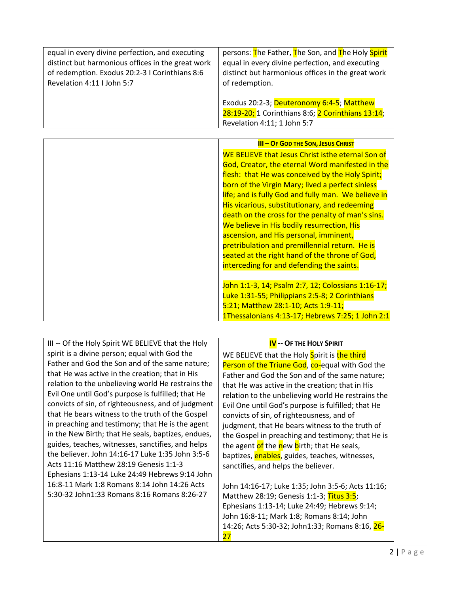| equal in every divine perfection, and executing   | persons: The Father, The Son, and The Holy Spirit                                                                             |
|---------------------------------------------------|-------------------------------------------------------------------------------------------------------------------------------|
| distinct but harmonious offices in the great work | equal in every divine perfection, and executing                                                                               |
| of redemption. Exodus 20:2-3 I Corinthians 8:6    | distinct but harmonious offices in the great work                                                                             |
| Revelation 4:11 I John 5:7                        | of redemption.                                                                                                                |
|                                                   | Exodus 20:2-3; Deuteronomy 6:4-5; Matthew<br>28:19-20; 1 Corinthians 8:6; 2 Corinthians 13:14;<br>Revelation 4:11; 1 John 5:7 |

| <b>III - OF GOD THE SON, JESUS CHRIST</b>           |
|-----------------------------------------------------|
| WE BELIEVE that Jesus Christ isthe eternal Son of   |
| God, Creator, the eternal Word manifested in the    |
| flesh: that He was conceived by the Holy Spirit;    |
| born of the Virgin Mary; lived a perfect sinless    |
| life; and is fully God and fully man. We believe in |
| His vicarious, substitutionary, and redeeming       |
| death on the cross for the penalty of man's sins.   |
| We believe in His bodily resurrection, His          |
| ascension, and His personal, imminent,              |
| pretribulation and premillennial return. He is      |
| seated at the right hand of the throne of God,      |
| interceding for and defending the saints.           |
|                                                     |
| John 1:1-3, 14; Psalm 2:7, 12; Colossians 1:16-17;  |
| Luke 1:31-55; Philippians 2:5-8; 2 Corinthians      |
| 5:21; Matthew 28:1-10; Acts 1:9-11;                 |
| 1Thessalonians 4:13-17; Hebrews 7:25; 1 John 2:1    |

| III -- Of the Holy Spirit WE BELIEVE that the Holy | <b>IV</b> -- OF THE HOLY SPIRIT                        |
|----------------------------------------------------|--------------------------------------------------------|
| spirit is a divine person; equal with God the      | WE BELIEVE that the Holy Spirit is the third           |
| Father and God the Son and of the same nature;     | Person of the Triune God, co-equal with God the        |
| that He was active in the creation; that in His    | Father and God the Son and of the same nature;         |
| relation to the unbelieving world He restrains the | that He was active in the creation; that in His        |
| Evil One until God's purpose is fulfilled; that He | relation to the unbelieving world He restrains the     |
| convicts of sin, of righteousness, and of judgment | Evil One until God's purpose is fulfilled; that He     |
| that He bears witness to the truth of the Gospel   | convicts of sin, of righteousness, and of              |
| in preaching and testimony; that He is the agent   | judgment, that He bears witness to the truth of        |
| in the New Birth; that He seals, baptizes, endues, | the Gospel in preaching and testimony; that He is      |
| guides, teaches, witnesses, sanctifies, and helps  | the agent of the new birth; that He seals,             |
| the believer. John 14:16-17 Luke 1:35 John 3:5-6   | baptizes, <b>enables</b> , guides, teaches, witnesses, |
| Acts 11:16 Matthew 28:19 Genesis 1:1-3             | sanctifies, and helps the believer.                    |
| Ephesians 1:13-14 Luke 24:49 Hebrews 9:14 John     |                                                        |
| 16:8-11 Mark 1:8 Romans 8:14 John 14:26 Acts       | John 14:16-17; Luke 1:35; John 3:5-6; Acts 11:16;      |
| 5:30-32 John1:33 Romans 8:16 Romans 8:26-27        | Matthew 28:19; Genesis 1:1-3; Titus 3:5;               |
|                                                    | Ephesians 1:13-14; Luke 24:49; Hebrews 9:14;           |
|                                                    | John 16:8-11; Mark 1:8; Romans 8:14; John              |
|                                                    | 14:26; Acts 5:30-32; John1:33; Romans 8:16, 26-        |
|                                                    | 27                                                     |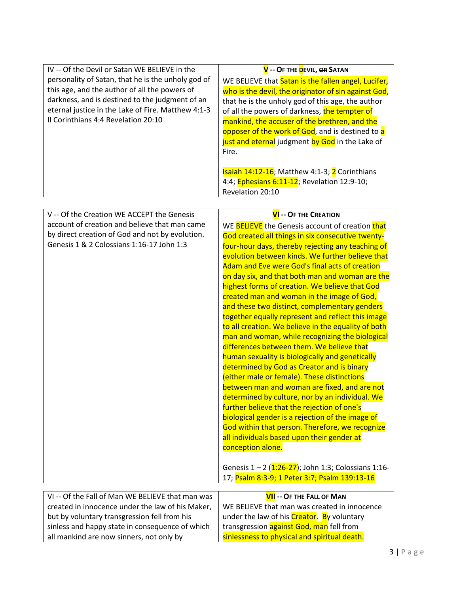| IV -- Of the Devil or Satan WE BELIEVE in the<br>personality of Satan, that he is the unholy god of<br>this age, and the author of all the powers of<br>darkness, and is destined to the judgment of an<br>eternal justice in the Lake of Fire. Matthew 4:1-3<br>II Corinthians 4:4 Revelation 20:10 | V -- OF THE DEVIL, OR SATAN<br>WE BELIEVE that Satan is the fallen angel, Lucifer,<br>who is the devil, the originator of sin against God,<br>that he is the unholy god of this age, the author<br>of all the powers of darkness, the tempter of<br>mankind, the accuser of the brethren, and the<br>opposer of the work of God, and is destined to a<br>just and eternal judgment by God in the Lake of<br>Fire.<br>Isaiah 14:12-16; Matthew 4:1-3; 2 Corinthians<br>4:4; Ephesians 6:11-12; Revelation 12:9-10;<br>Revelation 20:10                                                                                                                                                                                                                                                                                                                                                                                                                                                                                                                                                                                                                                                       |
|------------------------------------------------------------------------------------------------------------------------------------------------------------------------------------------------------------------------------------------------------------------------------------------------------|---------------------------------------------------------------------------------------------------------------------------------------------------------------------------------------------------------------------------------------------------------------------------------------------------------------------------------------------------------------------------------------------------------------------------------------------------------------------------------------------------------------------------------------------------------------------------------------------------------------------------------------------------------------------------------------------------------------------------------------------------------------------------------------------------------------------------------------------------------------------------------------------------------------------------------------------------------------------------------------------------------------------------------------------------------------------------------------------------------------------------------------------------------------------------------------------|
|                                                                                                                                                                                                                                                                                                      |                                                                                                                                                                                                                                                                                                                                                                                                                                                                                                                                                                                                                                                                                                                                                                                                                                                                                                                                                                                                                                                                                                                                                                                             |
| V -- Of the Creation WE ACCEPT the Genesis<br>account of creation and believe that man came<br>by direct creation of God and not by evolution.<br>Genesis 1 & 2 Colossians 1:16-17 John 1:3                                                                                                          | <b>VI</b> -- OF THE CREATION<br>WE BELIEVE the Genesis account of creation that<br>God created all things in six consecutive twenty-<br>four-hour days, thereby rejecting any teaching of<br>evolution between kinds. We further believe that<br>Adam and Eve were God's final acts of creation<br>on day six, and that both man and woman are the<br>highest forms of creation. We believe that God<br>created man and woman in the image of God,<br>and these two distinct, complementary genders<br>together equally represent and reflect this image<br>to all creation. We believe in the equality of both<br>man and woman, while recognizing the biological<br>differences between them. We believe that<br>human sexuality is biologically and genetically<br>determined by God as Creator and is binary<br>(either male or female). These distinctions<br>between man and woman are fixed, and are not<br>determined by culture, nor by an individual. We<br>further believe that the rejection of one's<br>biological gender is a rejection of the image of<br>God within that person. Therefore, we recognize<br>all individuals based upon their gender at<br>conception alone. |

Genesis 1 – 2 (<mark>1:26-27</mark>); John 1:3; Colossians 1:16-17; <mark>Psalm 8:3-9; 1 Peter 3:7; Psalm 139:13-16</mark>

| VI -- Of the Fall of Man WE BELIEVE that man was | <b>VII</b> -- OF THE FALL OF MAN             |
|--------------------------------------------------|----------------------------------------------|
| created in innocence under the law of his Maker, | WE BELIEVE that man was created in innocence |
| but by voluntary transgression fell from his     | under the law of his Creator. By voluntary   |
| sinless and happy state in consequence of which  | transgression against God, man fell from     |
| all mankind are now sinners, not only by         | sinlessness to physical and spiritual death. |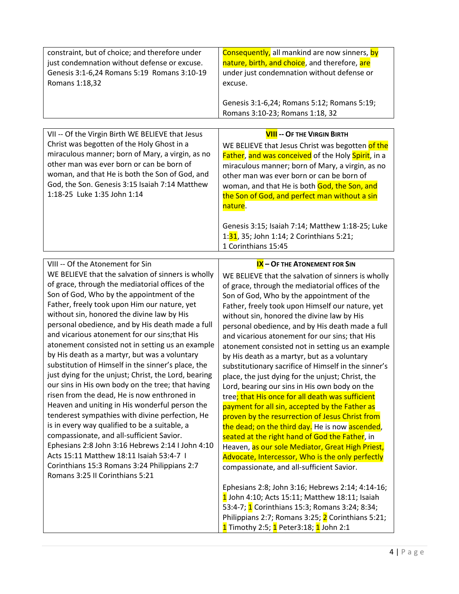| constraint, but of choice; and therefore under | <b>Consequently,</b> all mankind are now sinners, by                           |
|------------------------------------------------|--------------------------------------------------------------------------------|
| just condemnation without defense or excuse.   | nature, birth, and choice, and therefore, are                                  |
| Genesis 3:1-6,24 Romans 5:19 Romans 3:10-19    | under just condemnation without defense or                                     |
| Romans 1:18,32                                 | excuse.                                                                        |
|                                                | Genesis 3:1-6,24; Romans 5:12; Romans 5:19;<br>Romans 3:10-23; Romans 1:18, 32 |

| VII -- Of the Virgin Birth WE BELIEVE that Jesus                                                                                                                                                                                                                               | <b>VIII -- OF THE VIRGIN BIRTH</b>                                                                                                                                                                                                                                                                                                                                                                                  |
|--------------------------------------------------------------------------------------------------------------------------------------------------------------------------------------------------------------------------------------------------------------------------------|---------------------------------------------------------------------------------------------------------------------------------------------------------------------------------------------------------------------------------------------------------------------------------------------------------------------------------------------------------------------------------------------------------------------|
| Christ was begotten of the Holy Ghost in a<br>miraculous manner; born of Mary, a virgin, as no<br>other man was ever born or can be born of<br>woman, and that He is both the Son of God, and<br>God, the Son. Genesis 3:15 Isaiah 7:14 Matthew<br>1:18-25 Luke 1:35 John 1:14 | WE BELIEVE that Jesus Christ was begotten of the<br>Father, and was conceived of the Holy Spirit, in a<br>miraculous manner; born of Mary, a virgin, as no<br>other man was ever born or can be born of<br>woman, and that He is both God, the Son, and<br>the Son of God, and perfect man without a sin<br>nature.<br>Genesis 3:15; Isaiah 7:14; Matthew 1:18-25; Luke<br>1:31, 35; John 1:14; 2 Corinthians 5:21; |
|                                                                                                                                                                                                                                                                                | 1 Corinthians 15:45                                                                                                                                                                                                                                                                                                                                                                                                 |

VIII -- Of the Atonement for Sin WE BELIEVE that the salvation of sinners is wholly of grace, through the mediatorial offices of the Son of God, Who by the appointment of the Father, freely took upon Him our nature, yet without sin, honored the divine law by His personal obedience, and by His death made a full and vicarious atonement for our sins;that His atonement consisted not in setting us an example by His death as a martyr, but was a voluntary substitution of Himself in the sinner's place, the just dying for the unjust; Christ, the Lord, bearing our sins in His own body on the tree; that having risen from the dead, He is now enthroned in Heaven and uniting in His wonderful person the tenderest sympathies with divine perfection, He is in every way qualified to be a suitable, a compassionate, and all-sufficient Savior. Ephesians 2:8 John 3:16 Hebrews 2:14 I John 4:10 Acts 15:11 Matthew 18:11 Isaiah 53:4-7 I Corinthians 15:3 Romans 3:24 Philippians 2:7 Romans 3:25 II Corinthians 5:21

**IX – OF THE ATONEMENT FOR SIN** WE BELIEVE that the salvation of sinners is wholly of grace, through the mediatorial offices of the Son of God, Who by the appointment of the Father, freely took upon Himself our nature, yet without sin, honored the divine law by His personal obedience, and by His death made a full and vicarious atonement for our sins; that His atonement consisted not in setting us an example by His death as a martyr, but as a voluntary substitutionary sacrifice of Himself in the sinner's place, the just dying for the unjust; Christ, the Lord, bearing our sins in His own body on the tree; that His once for all death was sufficient payment for all sin, accepted by the Father as proven by the resurrection of Jesus Christ from the dead; on the third day. He is now ascended, seated at the right hand of God the Father, in Heaven, as our sole Mediator, Great High Priest, Advocate, Intercessor, Who is the only perfectly compassionate, and all-sufficient Savior.

Ephesians 2:8; John 3:16; Hebrews 2:14; 4:14-16; 1 John 4:10; Acts 15:11; Matthew 18:11; Isaiah 53:4-7; **1** Corinthians 15:3; Romans 3:24; 8:34; Philippians 2:7; Romans 3:25; 2 Corinthians 5:21; 1 Timothy 2:5; 1 Peter3:18; 1 John 2:1